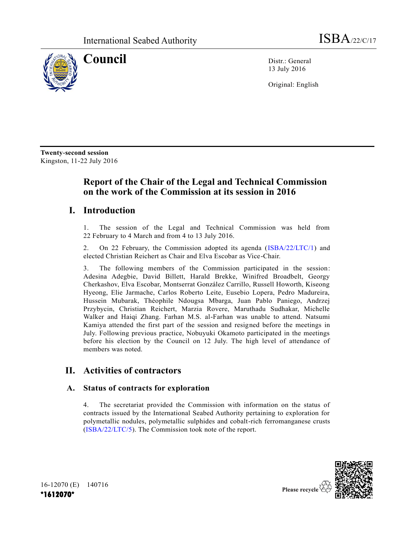

**Council** Distr.: General 13 July 2016

Original: English

**Twenty-second session** Kingston, 11-22 July 2016

# **Report of the Chair of the Legal and Technical Commission on the work of the Commission at its session in 2016**

## **I. Introduction**

1. The session of the Legal and Technical Commission was held from 22 February to 4 March and from 4 to 13 July 2016.

2. On 22 February, the Commission adopted its agenda [\(ISBA/22/LTC/1\)](http://undocs.org/ISBA/22/LTC/1) and elected Christian Reichert as Chair and Elva Escobar as Vice-Chair.

3. The following members of the Commission participated in the session: Adesina Adegbie, David Billett, Harald Brekke, Winifred Broadbelt, Georgy Cherkashov, Elva Escobar, Montserrat González Carrillo, Russell Howorth, Kiseong Hyeong, Elie Jarmache, Carlos Roberto Leite, Eusebio Lopera, Pedro Madureira, Hussein Mubarak, Théophile Ndougsa Mbarga, Juan Pablo Paniego, Andrzej Przybycin, Christian Reichert, Marzia Rovere, Maruthadu Sudhakar, Michelle Walker and Haiqi Zhang. Farhan M.S. al-Farhan was unable to attend. Natsumi Kamiya attended the first part of the session and resigned before the meetings in July. Following previous practice, Nobuyuki Okamoto participated in the meetings before his election by the Council on 12 July. The high level of attendance of members was noted.

# **II. Activities of contractors**

## **A. Status of contracts for exploration**

4. The secretariat provided the Commission with information on the status of contracts issued by the International Seabed Authority pertaining to exploration for polymetallic nodules, polymetallic sulphides and cobalt-rich ferromanganese crusts [\(ISBA/22/LTC/5\)](http://undocs.org/ISBA/22/LTC/5). The Commission took note of the report.



16-12070 (E) 140716 **\*1612070\***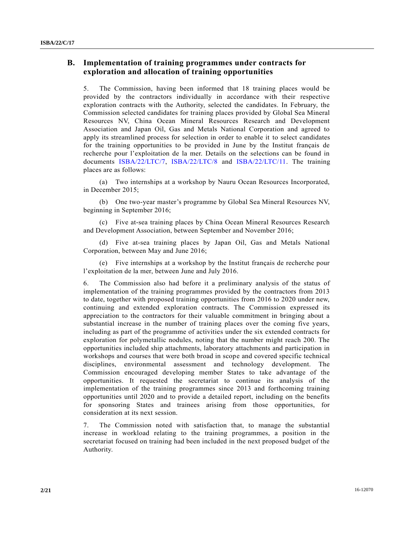## **B. Implementation of training programmes under contracts for exploration and allocation of training opportunities**

5. The Commission, having been informed that 18 training places would be provided by the contractors individually in accordance with their respective exploration contracts with the Authority, selected the candidates. In February, the Commission selected candidates for training places provided by Global Sea Mineral Resources NV, China Ocean Mineral Resources Research and Development Association and Japan Oil, Gas and Metals National Corporation and agreed to apply its streamlined process for selection in order to enable it to select candidates for the training opportunities to be provided in June by the Institut français de recherche pour l'exploitation de la mer. Details on the selections can be found in documents [ISBA/22/LTC/7,](http://undocs.org/ISBA/22/LTC/7) [ISBA/22/LTC/8](http://undocs.org/ISBA/22/LTC/8) and [ISBA/22/LTC/11.](http://undocs.org/ISBA/22/LTC/11) The training places are as follows:

(a) Two internships at a workshop by Nauru Ocean Resources Incorporated, in December 2015;

(b) One two-year master's programme by Global Sea Mineral Resources NV, beginning in September 2016;

(c) Five at-sea training places by China Ocean Mineral Resources Research and Development Association, between September and November 2016;

(d) Five at-sea training places by Japan Oil, Gas and Metals National Corporation, between May and June 2016;

(e) Five internships at a workshop by the Institut français de recherche pour l'exploitation de la mer, between June and July 2016.

6. The Commission also had before it a preliminary analysis of the status of implementation of the training programmes provided by the contractors from 2013 to date, together with proposed training opportunities from 2016 to 2020 under new, continuing and extended exploration contracts. The Commission expressed its appreciation to the contractors for their valuable commitment in bringing about a substantial increase in the number of training places over the coming five years, including as part of the programme of activities under the six extended contracts for exploration for polymetallic nodules, noting that the number might reach 200. The opportunities included ship attachments, laboratory attachments and participation in workshops and courses that were both broad in scope and covered specific technical disciplines, environmental assessment and technology development. The Commission encouraged developing member States to take advantage of the opportunities. It requested the secretariat to continue its analysis of the implementation of the training programmes since 2013 and forthcoming training opportunities until 2020 and to provide a detailed report, including on the benefits for sponsoring States and trainees arising from those opportunities, for consideration at its next session.

7. The Commission noted with satisfaction that, to manage the substantial increase in workload relating to the training programmes, a position in the secretariat focused on training had been included in the next proposed budget of the Authority.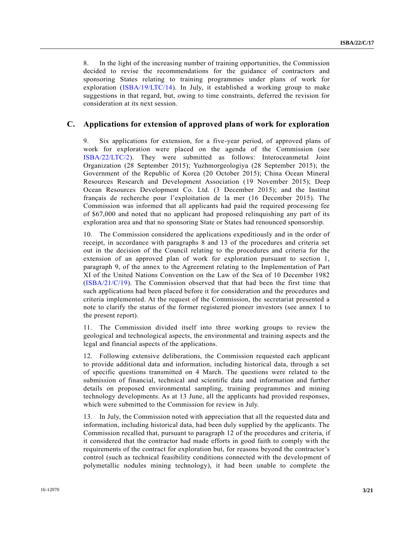8. In the light of the increasing number of training opportunities, the Commission decided to revise the recommendations for the guidance of contractors and sponsoring States relating to training programmes under plans of work for exploration [\(ISBA/19/LTC/14\)](http://undocs.org/ISBA/19/LTC/14). In July, it established a working group to make suggestions in that regard, but, owing to time constraints, deferred the revision for consideration at its next session.

#### **C. Applications for extension of approved plans of work for exploration**

9. Six applications for extension, for a five-year period, of approved plans of work for exploration were placed on the agenda of the Commission (see [ISBA/22/LTC/2\)](http://undocs.org/ISBA/22/LTC/2). They were submitted as follows: Interoceanmetal Joint Organization (28 September 2015); Yuzhmorgeologiya (28 September 2015); the Government of the Republic of Korea (20 October 2015); China Ocean Mineral Resources Research and Development Association (19 November 2015); Deep Ocean Resources Development Co. Ltd. (3 December 2015); and the Institut français de recherche pour l'exploitation de la mer (16 December 2015). The Commission was informed that all applicants had paid the required processing fee of \$67,000 and noted that no applicant had proposed relinquishing any part of its exploration area and that no sponsoring State or States had renounced sponsorship.

10. The Commission considered the applications expeditiously and in the order of receipt, in accordance with paragraphs 8 and 13 of the procedures and criteria set out in the decision of the Council relating to the procedures and criteria for the extension of an approved plan of work for exploration pursuant to section 1, paragraph 9, of the annex to the Agreement relating to the Implementation of Part XI of the United Nations Convention on the Law of the Sea of 10 December 1982 [\(ISBA/21/C/19\)](http://undocs.org/ISBA/21/C/19). The Commission observed that that had been the first time that such applications had been placed before it for consideration and the procedures and criteria implemented. At the request of the Commission, the secretariat presented a note to clarify the status of the former registered pioneer investors (see annex I to the present report).

11. The Commission divided itself into three working groups to review the geological and technological aspects, the environmental and training aspects and the legal and financial aspects of the applications.

12. Following extensive deliberations, the Commission requested each applicant to provide additional data and information, including historical data, through a set of specific questions transmitted on 4 March. The questions were related to the submission of financial, technical and scientific data and information and further details on proposed environmental sampling, training programmes and mining technology developments. As at 13 June, all the applicants had provided responses, which were submitted to the Commission for review in July.

13. In July, the Commission noted with appreciation that all the requested data and information, including historical data, had been duly supplied by the applicants. The Commission recalled that, pursuant to paragraph 12 of the procedures and criteria, if it considered that the contractor had made efforts in good faith to comply with the requirements of the contract for exploration but, for reasons beyond the contractor's control (such as technical feasibility conditions connected with the development of polymetallic nodules mining technology), it had been unable to complete the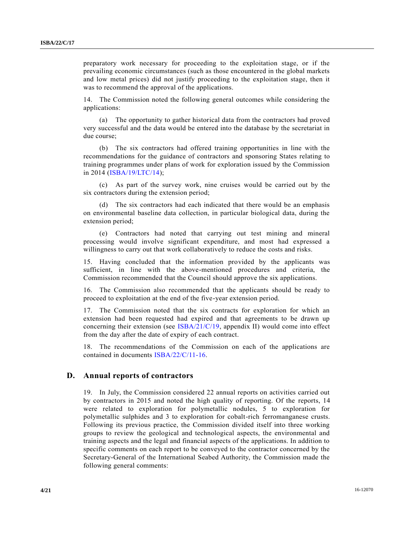preparatory work necessary for proceeding to the exploitation stage, or if the prevailing economic circumstances (such as those encountered in the global markets and low metal prices) did not justify proceeding to the exploitation stage, then it was to recommend the approval of the applications.

14. The Commission noted the following general outcomes while considering the applications:

(a) The opportunity to gather historical data from the contractors had proved very successful and the data would be entered into the database by the secretariat in due course;

(b) The six contractors had offered training opportunities in line with the recommendations for the guidance of contractors and sponsoring States relating to training programmes under plans of work for exploration issued by the Commission in 2014 [\(ISBA/19/LTC/14\)](http://undocs.org/ISBA/19/LTC/14);

(c) As part of the survey work, nine cruises would be carried out by the six contractors during the extension period;

(d) The six contractors had each indicated that there would be an emphasis on environmental baseline data collection, in particular biological data, during the extension period;

(e) Contractors had noted that carrying out test mining and mineral processing would involve significant expenditure, and most had expressed a willingness to carry out that work collaboratively to reduce the costs and risks.

15. Having concluded that the information provided by the applicants was sufficient, in line with the above-mentioned procedures and criteria, the Commission recommended that the Council should approve the six applications.

16. The Commission also recommended that the applicants should be ready to proceed to exploitation at the end of the five-year extension period.

17. The Commission noted that the six contracts for exploration for which an extension had been requested had expired and that agreements to be drawn up concerning their extension (see [ISBA/21/C/19,](http://undocs.org/ISBA/21/C/19) appendix II) would come into effect from the day after the date of expiry of each contract.

18. The recommendations of the Commission on each of the applications are contained in documents [ISBA/22/C/11-16.](http://undocs.org/ISBA/22/C/11-16)

#### **D. Annual reports of contractors**

19. In July, the Commission considered 22 annual reports on activities carried out by contractors in 2015 and noted the high quality of reporting. Of the reports, 14 were related to exploration for polymetallic nodules, 5 to exploration for polymetallic sulphides and 3 to exploration for cobalt-rich ferromanganese crusts. Following its previous practice, the Commission divided itself into three working groups to review the geological and technological aspects, the environmental and training aspects and the legal and financial aspects of the applications. In addition to specific comments on each report to be conveyed to the contractor concerned by the Secretary-General of the International Seabed Authority, the Commission made the following general comments: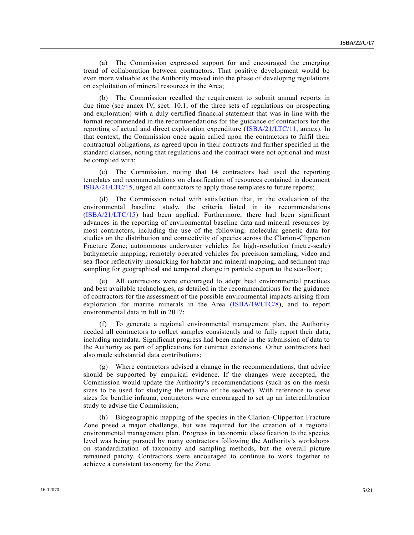(a) The Commission expressed support for and encouraged the emerging trend of collaboration between contractors. That positive development would be even more valuable as the Authority moved into the phase of developing regulations on exploitation of mineral resources in the Area;

(b) The Commission recalled the requirement to submit annual reports in due time (see annex IV, sect. 10.1, of the three sets of regulations on prospecting and exploration) with a duly certified financial statement that was in line with the format recommended in the recommendations for the guidance of contractors for the reporting of actual and direct exploration expenditure [\(ISBA/21/LTC/11,](http://undocs.org/ISBA/21/LTC/11) annex). In that context, the Commission once again called upon the contractors to fulfil their contractual obligations, as agreed upon in their contracts and further specified in the standard clauses, noting that regulations and the contract were not optional and must be complied with;

(c) The Commission, noting that 14 contractors had used the reporting templates and recommendations on classification of resources contained in document [ISBA/21/LTC/15,](http://undocs.org/ISBA/21/LTC/15) urged all contractors to apply those templates to future reports;

(d) The Commission noted with satisfaction that, in the evaluation of the environmental baseline study, the criteria listed in its recommendations [\(ISBA/21/LTC/15\)](http://undocs.org/ISBA/21/LTC/15) had been applied. Furthermore, there had been significant advances in the reporting of environmental baseline data and mineral resources by most contractors, including the use of the following: molecular genetic data for studies on the distribution and connectivity of species across the Clarion-Clipperton Fracture Zone; autonomous underwater vehicles for high-resolution (metre-scale) bathymetric mapping; remotely operated vehicles for precision sampling; video and sea-floor reflectivity mosaicking for habitat and mineral mapping; and sediment trap sampling for geographical and temporal change in particle export to the sea-floor;

(e) All contractors were encouraged to adopt best environmental practices and best available technologies, as detailed in the recommendations for the guidance of contractors for the assessment of the possible environmental impacts arising from exploration for marine minerals in the Area [\(ISBA/19/LTC/8\)](http://undocs.org/ISBA/19/LTC/8), and to report environmental data in full in 2017;

(f) To generate a regional environmental management plan, the Authority needed all contractors to collect samples consistently and to fully report their data, including metadata. Significant progress had been made in the submission of data to the Authority as part of applications for contract extensions. Other contractors had also made substantial data contributions;

(g) Where contractors advised a change in the recommendations, that advice should be supported by empirical evidence. If the changes were accepted, the Commission would update the Authority's recommendations (such as on the mesh sizes to be used for studying the infauna of the seabed). With reference to sieve sizes for benthic infauna, contractors were encouraged to set up an intercalibration study to advise the Commission;

(h) Biogeographic mapping of the species in the Clarion-Clipperton Fracture Zone posed a major challenge, but was required for the creation of a regional environmental management plan. Progress in taxonomic classification to the species level was being pursued by many contractors following the Authority's workshops on standardization of taxonomy and sampling methods, but the overall picture remained patchy. Contractors were encouraged to continue to work together to achieve a consistent taxonomy for the Zone.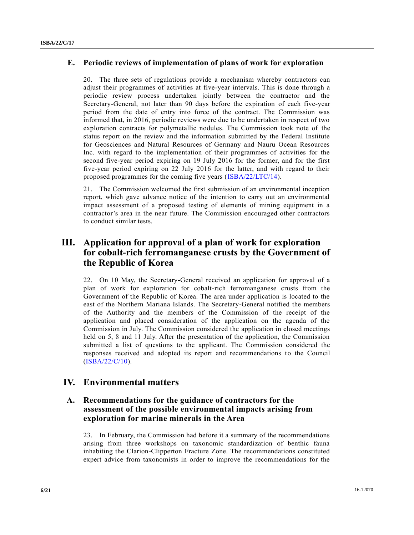#### **E. Periodic reviews of implementation of plans of work for exploration**

20. The three sets of regulations provide a mechanism whereby contractors can adjust their programmes of activities at five-year intervals. This is done through a periodic review process undertaken jointly between the contractor and the Secretary-General, not later than 90 days before the expiration of each five-year period from the date of entry into force of the contract. The Commission was informed that, in 2016, periodic reviews were due to be undertaken in respect of two exploration contracts for polymetallic nodules. The Commission took note of the status report on the review and the information submitted by the Federal Institute for Geosciences and Natural Resources of Germany and Nauru Ocean Resources Inc. with regard to the implementation of their programmes of activities for the second five-year period expiring on 19 July 2016 for the former, and for the first five-year period expiring on 22 July 2016 for the latter, and with regard to their proposed programmes for the coming five years [\(ISBA/22/LTC/14\)](http://undocs.org/ISBA/22/LTC/14).

21. The Commission welcomed the first submission of an environmental inception report, which gave advance notice of the intention to carry out an environmental impact assessment of a proposed testing of elements of mining equipment in a contractor's area in the near future. The Commission encouraged other contractors to conduct similar tests.

## **III. Application for approval of a plan of work for exploration for cobalt-rich ferromanganese crusts by the Government of the Republic of Korea**

22. On 10 May, the Secretary-General received an application for approval of a plan of work for exploration for cobalt-rich ferromanganese crusts from the Government of the Republic of Korea. The area under application is located to the east of the Northern Mariana Islands. The Secretary-General notified the members of the Authority and the members of the Commission of the receipt of the application and placed consideration of the application on the agenda of the Commission in July. The Commission considered the application in closed meetings held on 5, 8 and 11 July. After the presentation of the application, the Commission submitted a list of questions to the applicant. The Commission considered the responses received and adopted its report and recommendations to the Council [\(ISBA/22/C/10\)](http://undocs.org/ISBA/22/C/10).

## **IV. Environmental matters**

## **A. Recommendations for the guidance of contractors for the assessment of the possible environmental impacts arising from exploration for marine minerals in the Area**

23. In February, the Commission had before it a summary of the recommendations arising from three workshops on taxonomic standardization of benthic fauna inhabiting the Clarion-Clipperton Fracture Zone. The recommendations constituted expert advice from taxonomists in order to improve the recommendations for the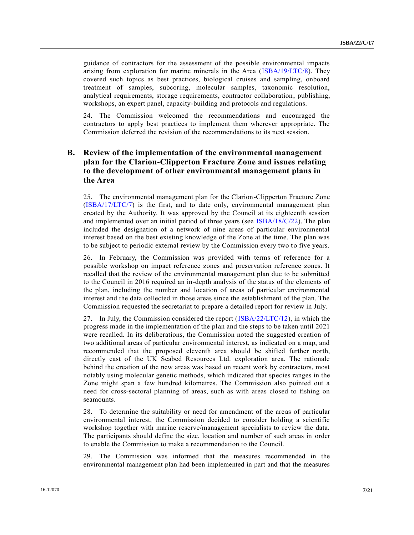guidance of contractors for the assessment of the possible environmental impacts arising from exploration for marine minerals in the Area [\(ISBA/19/LTC/8\)](http://undocs.org/ISBA/19/LTC/8). They covered such topics as best practices, biological cruises and sampling, onboard treatment of samples, subcoring, molecular samples, taxonomic resolution, analytical requirements, storage requirements, contractor collaboration, publishing, workshops, an expert panel, capacity-building and protocols and regulations.

24. The Commission welcomed the recommendations and encouraged the contractors to apply best practices to implement them wherever appropriate. The Commission deferred the revision of the recommendations to its next session.

## **B. Review of the implementation of the environmental management plan for the Clarion-Clipperton Fracture Zone and issues relating to the development of other environmental management plans in the Area**

25. The environmental management plan for the Clarion-Clipperton Fracture Zone [\(ISBA/17/LTC/7\)](http://undocs.org/ISBA/17/LTC/7) is the first, and to date only, environmental management plan created by the Authority. It was approved by the Council at its eighteenth session and implemented over an initial period of three years (see [ISBA/18/C/22\)](http://undocs.org/ISBA/18/C/22). The plan included the designation of a network of nine areas of particular environmental interest based on the best existing knowledge of the Zone at the time. The plan was to be subject to periodic external review by the Commission every two to five years.

26. In February, the Commission was provided with terms of reference for a possible workshop on impact reference zones and preservation reference zones. It recalled that the review of the environmental management plan due to be submitted to the Council in 2016 required an in-depth analysis of the status of the elements of the plan, including the number and location of areas of particular environmental interest and the data collected in those areas since the establishment of the plan. The Commission requested the secretariat to prepare a detailed report for review in July.

27. In July, the Commission considered the report [\(ISBA/22/LTC/12\)](http://undocs.org/ISBA/22/LTC/12), in which the progress made in the implementation of the plan and the steps to be taken until 2021 were recalled. In its deliberations, the Commission noted the suggested creation of two additional areas of particular environmental interest, as indicated on a map, and recommended that the proposed eleventh area should be shifted further north, directly east of the UK Seabed Resources Ltd. exploration area. The rationale behind the creation of the new areas was based on recent work by contractors, most notably using molecular genetic methods, which indicated that species ranges in the Zone might span a few hundred kilometres. The Commission also pointed out a need for cross-sectoral planning of areas, such as with areas closed to fishing on seamounts.

28. To determine the suitability or need for amendment of the areas of particular environmental interest, the Commission decided to consider holding a scientific workshop together with marine reserve/management specialists to review the data. The participants should define the size, location and number of such areas in order to enable the Commission to make a recommendation to the Council.

29. The Commission was informed that the measures recommended in the environmental management plan had been implemented in part and that the measures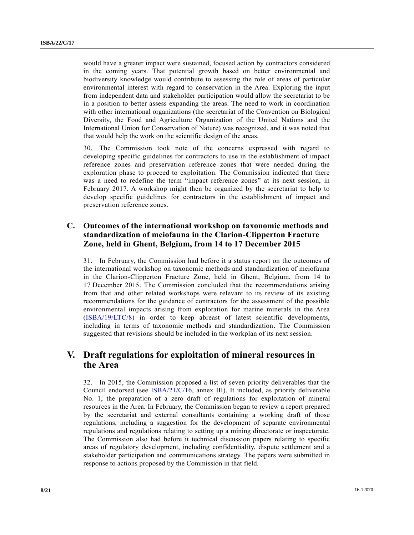would have a greater impact were sustained, focused action by contractors considered in the coming years. That potential growth based on better environmental and biodiversity knowledge would contribute to assessing the role of areas of particular environmental interest with regard to conservation in the Area. Exploring the input from independent data and stakeholder participation would allow the secretariat to be in a position to better assess expanding the areas. The need to work in coordination with other international organizations (the secretariat of the Convention on Biological Diversity, the Food and Agriculture Organization of the United Nations and the International Union for Conservation of Nature) was recognized, and it was noted that that would help the work on the scientific design of the areas.

30. The Commission took note of the concerns expressed with regard to developing specific guidelines for contractors to use in the establishment of impact reference zones and preservation reference zones that were needed during the exploration phase to proceed to exploitation. The Commission indicated that there was a need to redefine the term "impact reference zones" at its next session, in February 2017. A workshop might then be organized by the secretariat to help to develop specific guidelines for contractors in the establishment of impact and preservation reference zones.

## **C. Outcomes of the international workshop on taxonomic methods and standardization of meiofauna in the Clarion-Clipperton Fracture Zone, held in Ghent, Belgium, from 14 to 17 December 2015**

31. In February, the Commission had before it a status report on the outcomes of the international workshop on taxonomic methods and standardization of meiofauna in the Clarion-Clipperton Fracture Zone, held in Ghent, Belgium, from 14 to 17 December 2015. The Commission concluded that the recommendations arising from that and other related workshops were relevant to its review of its existing recommendations for the guidance of contractors for the assessment of the possible environmental impacts arising from exploration for marine minerals in the Area [\(ISBA/19/LTC/8\)](http://undocs.org/ISBA/19/LTC/8) in order to keep abreast of latest scientific developments, including in terms of taxonomic methods and standardization. The Commission suggested that revisions should be included in the workplan of its next session.

## **V. Draft regulations for exploitation of mineral resources in the Area**

32. In 2015, the Commission proposed a list of seven priority deliverables that the Council endorsed (see [ISBA/21/C/16,](http://undocs.org/ISBA/21/C/16) annex III). It included, as priority deliverable No. 1, the preparation of a zero draft of regulations for exploitation of mineral resources in the Area. In February, the Commission began to review a report prepared by the secretariat and external consultants containing a working draft of those regulations, including a suggestion for the development of separate environmental regulations and regulations relating to setting up a mining directorate or inspectorate. The Commission also had before it technical discussion papers relating to specific areas of regulatory development, including confidentiality, dispute settlement and a stakeholder participation and communications strategy. The papers were submitted in response to actions proposed by the Commission in that field.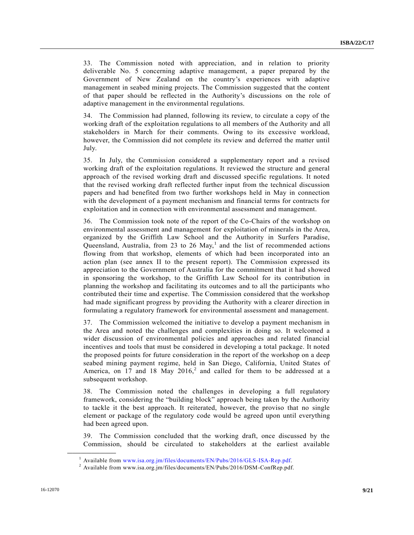33. The Commission noted with appreciation, and in relation to priority deliverable No. 5 concerning adaptive management, a paper prepared by the Government of New Zealand on the country's experiences with adaptive management in seabed mining projects. The Commission suggested that the content of that paper should be reflected in the Authority's discussions on the role of adaptive management in the environmental regulations.

34. The Commission had planned, following its review, to circulate a copy of the working draft of the exploitation regulations to all members of the Authority and all stakeholders in March for their comments. Owing to its excessive workload, however, the Commission did not complete its review and deferred the matter until July.

35. In July, the Commission considered a supplementary report and a revised working draft of the exploitation regulations. It reviewed the structure and general approach of the revised working draft and discussed specific regulations. It noted that the revised working draft reflected further input from the technical discussion papers and had benefited from two further workshops held in May in connection with the development of a payment mechanism and financial terms for contracts for exploitation and in connection with environmental assessment and management.

36. The Commission took note of the report of the Co-Chairs of the workshop on environmental assessment and management for exploitation of minerals in the Area, organized by the Griffith Law School and the Authority in Surfers Paradise, Queensland, Australia, from 23 to 26 May,<sup>1</sup> and the list of recommended actions flowing from that workshop, elements of which had been incorporated into an action plan (see annex II to the present report). The Commission expressed its appreciation to the Government of Australia for the commitment that it had showed in sponsoring the workshop, to the Griffith Law School for its contribution in planning the workshop and facilitating its outcomes and to all the participants who contributed their time and expertise. The Commission considered that the workshop had made significant progress by providing the Authority with a clearer direction in formulating a regulatory framework for environmental assessment and management.

37. The Commission welcomed the initiative to develop a payment mechanism in the Area and noted the challenges and complexities in doing so. It welcomed a wider discussion of environmental policies and approaches and related financial incentives and tools that must be considered in developing a total package. It noted the proposed points for future consideration in the report of the workshop on a deep seabed mining payment regime, held in San Diego, California, United States of America, on 17 and 18 May  $2016$ ,<sup>2</sup> and called for them to be addressed at a subsequent workshop.

38. The Commission noted the challenges in developing a full regulatory framework, considering the "building block" approach being taken by the Authority to tackle it the best approach. It reiterated, however, the proviso that no single element or package of the regulatory code would be agreed upon until everything had been agreed upon.

39. The Commission concluded that the working draft, once discussed by the Commission, should be circulated to stakeholders at the earliest available

**\_\_\_\_\_\_\_\_\_\_\_\_\_\_\_\_\_\_**

<sup>1</sup> Available from [www.isa.org.jm/files/documents/EN/Pubs/2016/GLS-ISA-Rep.pdf.](http://www.isa.org.jm/files/documents/EN/Pubs/2016/GLS-ISA-Rep.pdf)

 $^2$  Available from www.isa.org.jm/files/documents/EN/Pubs/2016/DSM-ConfRep.pdf.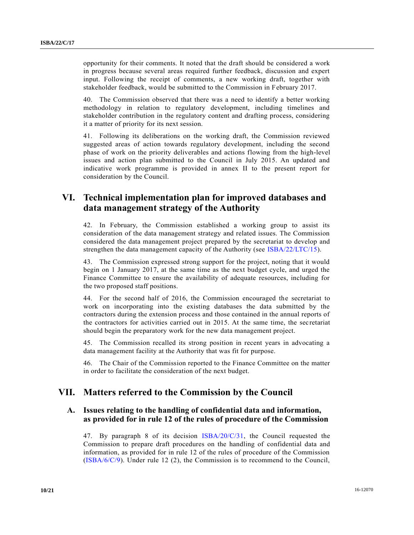opportunity for their comments. It noted that the draft should be considered a work in progress because several areas required further feedback, discussion and expert input. Following the receipt of comments, a new working draft, together with stakeholder feedback, would be submitted to the Commission in February 2017.

40. The Commission observed that there was a need to identify a better working methodology in relation to regulatory development, including timelines and stakeholder contribution in the regulatory content and drafting process, considering it a matter of priority for its next session.

41. Following its deliberations on the working draft, the Commission reviewed suggested areas of action towards regulatory development, including the second phase of work on the priority deliverables and actions flowing from the high-level issues and action plan submitted to the Council in July 2015. An updated and indicative work programme is provided in annex II to the present report for consideration by the Council.

## **VI. Technical implementation plan for improved databases and data management strategy of the Authority**

42. In February, the Commission established a working group to assist its consideration of the data management strategy and related issues. The Commission considered the data management project prepared by the secretariat to develop and strengthen the data management capacity of the Authority (see [ISBA/22/LTC/15\)](http://undocs.org/ISBA/22/LTC/15).

43. The Commission expressed strong support for the project, noting that it would begin on 1 January 2017, at the same time as the next budget cycle, and urged the Finance Committee to ensure the availability of adequate resources, including for the two proposed staff positions.

44. For the second half of 2016, the Commission encouraged the secretariat to work on incorporating into the existing databases the data submitted by the contractors during the extension process and those contained in the annual reports of the contractors for activities carried out in 2015. At the same time, the secretariat should begin the preparatory work for the new data management project.

45. The Commission recalled its strong position in recent years in advocating a data management facility at the Authority that was fit for purpose.

46. The Chair of the Commission reported to the Finance Committee on the matter in order to facilitate the consideration of the next budget.

## **VII. Matters referred to the Commission by the Council**

## **A. Issues relating to the handling of confidential data and information, as provided for in rule 12 of the rules of procedure of the Commission**

47. By paragraph 8 of its decision  $\text{IBBA}/20/\text{C}/31$ , the Council requested the Commission to prepare draft procedures on the handling of confidential data and information, as provided for in rule 12 of the rules of procedure of the Commission [\(ISBA/6/C/9\)](http://undocs.org/ISBA/6/C/9). Under rule 12 (2), the Commission is to recommend to the Council,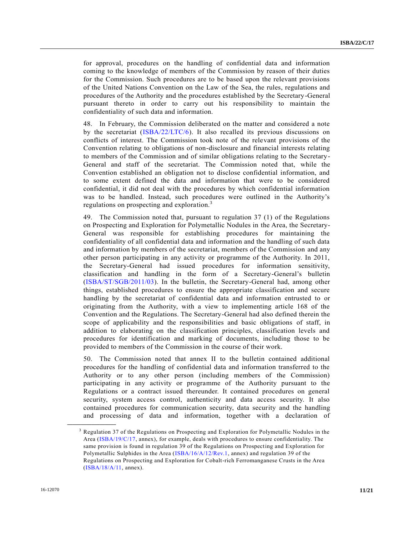for approval, procedures on the handling of confidential data and information coming to the knowledge of members of the Commission by reason of their duties for the Commission. Such procedures are to be based upon the relevant provisions of the United Nations Convention on the Law of the Sea, the rules, regulations and procedures of the Authority and the procedures established by the Secretary-General pursuant thereto in order to carry out his responsibility to maintain the confidentiality of such data and information.

48. In February, the Commission deliberated on the matter and considered a note by the secretariat [\(ISBA/22/LTC/6\)](http://undocs.org/ISBA/22/LTC/6). It also recalled its previous discussions on conflicts of interest. The Commission took note of the relevant provisions of the Convention relating to obligations of non-disclosure and financial interests relating to members of the Commission and of similar obligations relating to the Secretary-General and staff of the secretariat. The Commission noted that, while the Convention established an obligation not to disclose confidential information, and to some extent defined the data and information that were to be considered confidential, it did not deal with the procedures by which confidential information was to be handled. Instead, such procedures were outlined in the Authority's regulations on prospecting and exploration.<sup>3</sup>

49. The Commission noted that, pursuant to regulation 37 (1) of the Regulations on Prospecting and Exploration for Polymetallic Nodules in the Area, the Secretary-General was responsible for establishing procedures for maintaining the confidentiality of all confidential data and information and the handling of such data and information by members of the secretariat, members of the Commission and any other person participating in any activity or programme of the Authority. In 2011, the Secretary-General had issued procedures for information sensitivity, classification and handling in the form of a Secretary-General's bulletin [\(ISBA/ST/SGB/2011/03\)](http://undocs.org/ISBA/ST/SGB/2011/03). In the bulletin, the Secretary-General had, among other things, established procedures to ensure the appropriate classification and secure handling by the secretariat of confidential data and information entrusted to or originating from the Authority, with a view to implementing article 168 of the Convention and the Regulations. The Secretary-General had also defined therein the scope of applicability and the responsibilities and basic obligations of staff, in addition to elaborating on the classification principles, classification levels and procedures for identification and marking of documents, including those to be provided to members of the Commission in the course of their work.

50. The Commission noted that annex II to the bulletin contained additional procedures for the handling of confidential data and information transferred to the Authority or to any other person (including members of the Commission) participating in any activity or programme of the Authority pursuant to the Regulations or a contract issued thereunder. It contained procedures on general security, system access control, authenticity and data access security. It also contained procedures for communication security, data security and the handling and processing of data and information, together with a declaration of

**\_\_\_\_\_\_\_\_\_\_\_\_\_\_\_\_\_\_**

<sup>3</sup> Regulation 37 of the Regulations on Prospecting and Exploration for Polymetallic Nodules in the Area [\(ISBA/19/C/17,](http://undocs.org/ISBA/19/C/17) annex), for example, deals with procedures to ensure confidentiality. The same provision is found in regulation 39 of the Regulations on Prospecting and Exploration for Polymetallic Sulphides in the Area [\(ISBA/16/A/12/Rev.1,](http://undocs.org/ISBA/16/A/12/Rev.1) annex) and regulation 39 of the Regulations on Prospecting and Exploration for Cobalt-rich Ferromanganese Crusts in the Area [\(ISBA/18/A/11,](http://undocs.org/ISBA/18/A/11) annex).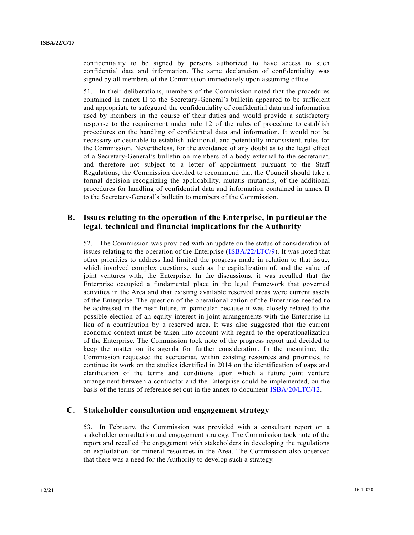confidentiality to be signed by persons authorized to have access to such confidential data and information. The same declaration of confidentiality was signed by all members of the Commission immediately upon assuming office.

51. In their deliberations, members of the Commission noted that the procedures contained in annex II to the Secretary-General's bulletin appeared to be sufficient and appropriate to safeguard the confidentiality of confidential data and information used by members in the course of their duties and would provide a satisfactory response to the requirement under rule 12 of the rules of procedure to establish procedures on the handling of confidential data and information. It would not be necessary or desirable to establish additional, and potentially inconsistent, rules for the Commission. Nevertheless, for the avoidance of any doubt as to the legal effect of a Secretary-General's bulletin on members of a body external to the secretariat, and therefore not subject to a letter of appointment pursuant to the Staff Regulations, the Commission decided to recommend that the Council should take a formal decision recognizing the applicability, mutatis mutandis, of the additional procedures for handling of confidential data and information contained in annex II to the Secretary-General's bulletin to members of the Commission.

#### **B. Issues relating to the operation of the Enterprise, in particular the legal, technical and financial implications for the Authority**

52. The Commission was provided with an update on the status of consideration of issues relating to the operation of the Enterprise [\(ISBA/22/LTC/9\)](http://undocs.org/ISBA/22/LTC/9). It was noted that other priorities to address had limited the progress made in relation to that issue, which involved complex questions, such as the capitalization of, and the value of joint ventures with, the Enterprise. In the discussions, it was recalled that the Enterprise occupied a fundamental place in the legal framework that governed activities in the Area and that existing available reserved areas were current assets of the Enterprise. The question of the operationalization of the Enterprise needed to be addressed in the near future, in particular because it was closely related to the possible election of an equity interest in joint arrangements with the Enterprise in lieu of a contribution by a reserved area. It was also suggested that the current economic context must be taken into account with regard to the operationalization of the Enterprise. The Commission took note of the progress report and decided to keep the matter on its agenda for further consideration. In the meantime, the Commission requested the secretariat, within existing resources and priorities, to continue its work on the studies identified in 2014 on the identification of gaps and clarification of the terms and conditions upon which a future joint venture arrangement between a contractor and the Enterprise could be implemented, on the basis of the terms of reference set out in the annex to document [ISBA/20/LTC/12.](http://undocs.org/ISBA/20/LTC/12)

#### **C. Stakeholder consultation and engagement strategy**

53. In February, the Commission was provided with a consultant report on a stakeholder consultation and engagement strategy. The Commission took note of the report and recalled the engagement with stakeholders in developing the regulations on exploitation for mineral resources in the Area. The Commission also observed that there was a need for the Authority to develop such a strategy.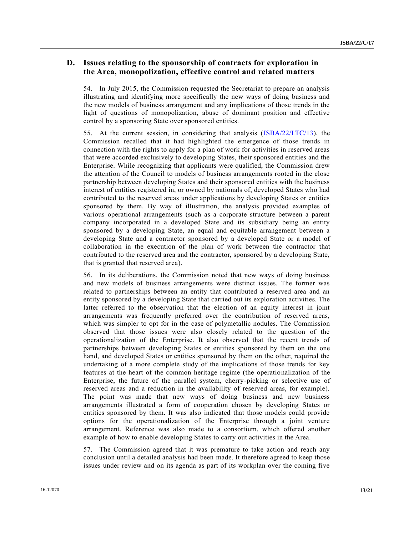## **D. Issues relating to the sponsorship of contracts for exploration in the Area, monopolization, effective control and related matters**

54. In July 2015, the Commission requested the Secretariat to prepare an analysis illustrating and identifying more specifically the new ways of doing business and the new models of business arrangement and any implications of those trends in the light of questions of monopolization, abuse of dominant position and effective control by a sponsoring State over sponsored entities.

55. At the current session, in considering that analysis [\(ISBA/22/LTC/13\)](http://undocs.org/ISBA/22/LTC/13), the Commission recalled that it had highlighted the emergence of those trends in connection with the rights to apply for a plan of work for activities in reserved areas that were accorded exclusively to developing States, their sponsored entities and the Enterprise. While recognizing that applicants were qualified, the Commission drew the attention of the Council to models of business arrangements rooted in the close partnership between developing States and their sponsored entities with the business interest of entities registered in, or owned by nationals of, developed States who had contributed to the reserved areas under applications by developing States or entities sponsored by them. By way of illustration, the analysis provided examples of various operational arrangements (such as a corporate structure between a parent company incorporated in a developed State and its subsidiary being an entity sponsored by a developing State, an equal and equitable arrangement between a developing State and a contractor sponsored by a developed State or a model of collaboration in the execution of the plan of work between the contractor that contributed to the reserved area and the contractor, sponsored by a developing State, that is granted that reserved area).

56. In its deliberations, the Commission noted that new ways of doing business and new models of business arrangements were distinct issues. The former was related to partnerships between an entity that contributed a reserved area and an entity sponsored by a developing State that carried out its exploration activities. The latter referred to the observation that the election of an equity interest in joint arrangements was frequently preferred over the contribution of reserved areas, which was simpler to opt for in the case of polymetallic nodules. The Commission observed that those issues were also closely related to the question of the operationalization of the Enterprise. It also observed that the recent trends of partnerships between developing States or entities sponsored by them on the one hand, and developed States or entities sponsored by them on the other, required the undertaking of a more complete study of the implications of those trends for key features at the heart of the common heritage regime (the operationalization of the Enterprise, the future of the parallel system, cherry-picking or selective use of reserved areas and a reduction in the availability of reserved areas, for example). The point was made that new ways of doing business and new business arrangements illustrated a form of cooperation chosen by developing States or entities sponsored by them. It was also indicated that those models could provide options for the operationalization of the Enterprise through a joint venture arrangement. Reference was also made to a consortium, which offered another example of how to enable developing States to carry out activities in the Area.

57. The Commission agreed that it was premature to take action and reach any conclusion until a detailed analysis had been made. It therefore agreed to keep those issues under review and on its agenda as part of its workplan over the coming five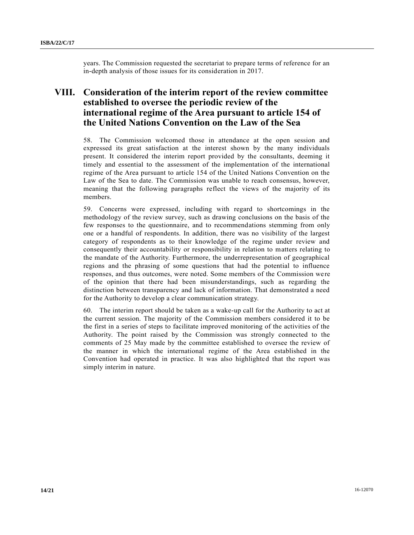years. The Commission requested the secretariat to prepare terms of reference for an in-depth analysis of those issues for its consideration in 2017.

## **VIII. Consideration of the interim report of the review committee established to oversee the periodic review of the international regime of the Area pursuant to article 154 of the United Nations Convention on the Law of the Sea**

58. The Commission welcomed those in attendance at the open session and expressed its great satisfaction at the interest shown by the many individuals present. It considered the interim report provided by the consultants, deeming it timely and essential to the assessment of the implementation of the international regime of the Area pursuant to article 154 of the United Nations Convention on the Law of the Sea to date. The Commission was unable to reach consensus, however, meaning that the following paragraphs reflect the views of the majority of its members.

59. Concerns were expressed, including with regard to shortcomings in the methodology of the review survey, such as drawing conclusions on the basis of the few responses to the questionnaire, and to recommendations stemming from only one or a handful of respondents. In addition, there was no visibility of the largest category of respondents as to their knowledge of the regime under review and consequently their accountability or responsibility in relation to matters relating to the mandate of the Authority. Furthermore, the underrepresentation of geographical regions and the phrasing of some questions that had the potential to influence responses, and thus outcomes, were noted. Some members of the Commission were of the opinion that there had been misunderstandings, such as regarding the distinction between transparency and lack of information. That demonstrated a need for the Authority to develop a clear communication strategy.

60. The interim report should be taken as a wake-up call for the Authority to act at the current session. The majority of the Commission members considered it to be the first in a series of steps to facilitate improved monitoring of the activities of the Authority. The point raised by the Commission was strongly connected to the comments of 25 May made by the committee established to oversee the review of the manner in which the international regime of the Area established in the Convention had operated in practice. It was also highlighted that the report was simply interim in nature.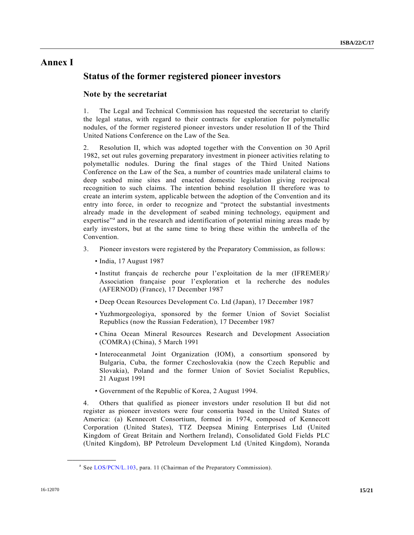## **Annex I**

## **Status of the former registered pioneer investors**

### **Note by the secretariat**

1. The Legal and Technical Commission has requested the secretariat to clarify the legal status, with regard to their contracts for exploration for polymetallic nodules, of the former registered pioneer investors under resolution II of the Third United Nations Conference on the Law of the Sea.

2. Resolution II, which was adopted together with the Convention on 30 April 1982, set out rules governing preparatory investment in pioneer activities relating to polymetallic nodules. During the final stages of the Third United Nations Conference on the Law of the Sea, a number of countries made unilateral claims to deep seabed mine sites and enacted domestic legislation giving reciprocal recognition to such claims. The intention behind resolution II therefore was to create an interim system, applicable between the adoption of the Convention and its entry into force, in order to recognize and "protect the substantial investments already made in the development of seabed mining technology, equipment and expertise"<sup>a</sup> and in the research and identification of potential mining areas made by early investors, but at the same time to bring these within the umbrella of the Convention.

- 3. Pioneer investors were registered by the Preparatory Commission, as follows:
	- India, 17 August 1987
	- Institut français de recherche pour l'exploitation de la mer (IFREMER)/ Association française pour l'exploration et la recherche des nodules (AFERNOD) (France), 17 December 1987
	- Deep Ocean Resources Development Co. Ltd (Japan), 17 December 1987
	- Yuzhmorgeologiya, sponsored by the former Union of Soviet Socialist Republics (now the Russian Federation), 17 December 1987
	- China Ocean Mineral Resources Research and Development Association (COMRA) (China), 5 March 1991
	- Interoceanmetal Joint Organization (IOM), a consortium sponsored by Bulgaria, Cuba, the former Czechoslovakia (now the Czech Republic and Slovakia), Poland and the former Union of Soviet Socialist Republics, 21 August 1991
	- Government of the Republic of Korea, 2 August 1994.

4. Others that qualified as pioneer investors under resolution II but did not register as pioneer investors were four consortia based in the United States of America: (a) Kennecott Consortium, formed in 1974, composed of Kennecott Corporation (United States), TTZ Deepsea Mining Enterprises Ltd (United Kingdom of Great Britain and Northern Ireland), Consolidated Gold Fields PLC (United Kingdom), BP Petroleum Development Ltd (United Kingdom), Noranda

**\_\_\_\_\_\_\_\_\_\_\_\_\_\_\_\_\_\_**

<sup>&</sup>lt;sup>a</sup> See [LOS/PCN/L.103,](http://undocs.org/LOS/PCN/L.103) para. 11 (Chairman of the Preparatory Commission).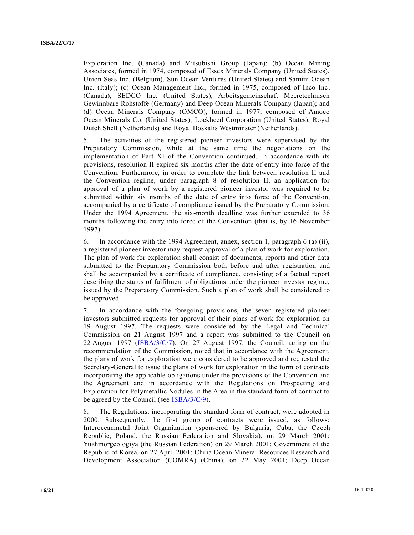Exploration Inc. (Canada) and Mitsubishi Group (Japan); (b) Ocean Mining Associates, formed in 1974, composed of Essex Minerals Company (United States), Union Seas Inc. (Belgium), Sun Ocean Ventures (United States) and Samim Ocean Inc. (Italy); (c) Ocean Management Inc., formed in 1975, composed of Inco Inc. (Canada), SEDCO Inc. (United States), Arbeitsgemeinschaft Meeretechnisch Gewinnbare Rohstoffe (Germany) and Deep Ocean Minerals Company (Japan); and (d) Ocean Minerals Company (OMCO), formed in 1977, composed of Amoco Ocean Minerals Co. (United States), Lockheed Corporation (United States), Royal Dutch Shell (Netherlands) and Royal Boskalis Westminster (Netherlands).

5. The activities of the registered pioneer investors were supervised by the Preparatory Commission, while at the same time the negotiations on the implementation of Part XI of the Convention continued. In accordance with its provisions, resolution II expired six months after the date of entry into force of the Convention. Furthermore, in order to complete the link between resolution II and the Convention regime, under paragraph 8 of resolution II, an application for approval of a plan of work by a registered pioneer investor was required to be submitted within six months of the date of entry into force of the Convention, accompanied by a certificate of compliance issued by the Preparatory Commission. Under the 1994 Agreement, the six-month deadline was further extended to 36 months following the entry into force of the Convention (that is, by 16 November 1997).

6. In accordance with the 1994 Agreement, annex, section 1, paragraph 6 (a) (ii), a registered pioneer investor may request approval of a plan of work for exploration. The plan of work for exploration shall consist of documents, reports and other data submitted to the Preparatory Commission both before and after registration and shall be accompanied by a certificate of compliance, consisting of a factual report describing the status of fulfilment of obligations under the pioneer investor regime, issued by the Preparatory Commission. Such a plan of work shall be considered to be approved.

7. In accordance with the foregoing provisions, the seven registered pioneer investors submitted requests for approval of their plans of work for exploration on 19 August 1997. The requests were considered by the Legal and Technical Commission on 21 August 1997 and a report was submitted to the Council on 22 August 1997 [\(ISBA/3/C/7\)](http://undocs.org/ISBA/3/C/7). On 27 August 1997, the Council, acting on the recommendation of the Commission, noted that in accordance with the Agreement, the plans of work for exploration were considered to be approved and requested the Secretary-General to issue the plans of work for exploration in the form of contracts incorporating the applicable obligations under the provisions of the Convention and the Agreement and in accordance with the Regulations on Prospecting and Exploration for Polymetallic Nodules in the Area in the standard form of contract to be agreed by the Council (see [ISBA/3/C/9\)](http://undocs.org/ISBA/3/C/9).

8. The Regulations, incorporating the standard form of contract, were adopted in 2000. Subsequently, the first group of contracts were issued, as follows: Interoceanmetal Joint Organization (sponsored by Bulgaria, Cuba, the Czech Republic, Poland, the Russian Federation and Slovakia), on 29 March 2001; Yuzhmorgeologiya (the Russian Federation) on 29 March 2001; Government of the Republic of Korea, on 27 April 2001; China Ocean Mineral Resources Research and Development Association (COMRA) (China), on 22 May 2001; Deep Ocean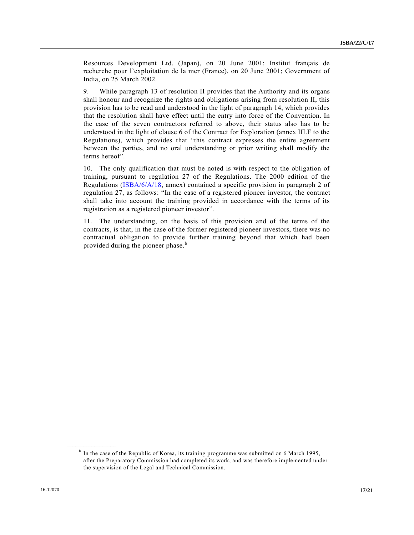Resources Development Ltd. (Japan), on 20 June 2001; Institut français de recherche pour l'exploitation de la mer (France), on 20 June 2001; Government of India, on 25 March 2002.

9. While paragraph 13 of resolution II provides that the Authority and its organs shall honour and recognize the rights and obligations arising from resolution II, this provision has to be read and understood in the light of paragraph 14, which provides that the resolution shall have effect until the entry into force of the Convention. In the case of the seven contractors referred to above, their status also has to be understood in the light of clause 6 of the Contract for Exploration (annex III.F to the Regulations), which provides that "this contract expresses the entire agreement between the parties, and no oral understanding or prior writing shall modify the terms hereof".

10. The only qualification that must be noted is with respect to the obligation of training, pursuant to regulation 27 of the Regulations. The 2000 edition of the Regulations [\(ISBA/6/A/18,](http://undocs.org/ISBA/6/A/18) annex) contained a specific provision in paragraph 2 of regulation 27, as follows: "In the case of a registered pioneer investor, the contract shall take into account the training provided in accordance with the terms of its registration as a registered pioneer investor".

11. The understanding, on the basis of this provision and of the terms of the contracts, is that, in the case of the former registered pioneer investors, there was no contractual obligation to provide further training beyond that which had been provided during the pioneer phase.<sup>b</sup>

**\_\_\_\_\_\_\_\_\_\_\_\_\_\_\_\_\_\_**

<sup>&</sup>lt;sup>b</sup> In the case of the Republic of Korea, its training programme was submitted on 6 March 1995, after the Preparatory Commission had completed its work, and was therefore implemented under the supervision of the Legal and Technical Commission.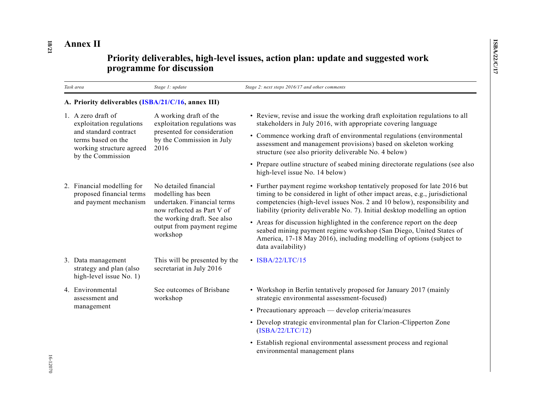# **Annex II**

# **Priority deliverables, high-level issues, action plan: update and suggested work programme for discussion**

| Task area                                                                                                                                      | Stage 1: update                                                                                                                                                                   | Stage 2: next steps 2016/17 and other comments                                                                                                                                                                                                                                                                      |  |  |  |
|------------------------------------------------------------------------------------------------------------------------------------------------|-----------------------------------------------------------------------------------------------------------------------------------------------------------------------------------|---------------------------------------------------------------------------------------------------------------------------------------------------------------------------------------------------------------------------------------------------------------------------------------------------------------------|--|--|--|
| A. Priority deliverables (ISBA/21/C/16, annex III)                                                                                             |                                                                                                                                                                                   |                                                                                                                                                                                                                                                                                                                     |  |  |  |
| 1. A zero draft of<br>exploitation regulations<br>and standard contract<br>terms based on the<br>working structure agreed<br>by the Commission | A working draft of the<br>exploitation regulations was<br>presented for consideration<br>by the Commission in July<br>2016                                                        | • Review, revise and issue the working draft exploitation regulations to all<br>stakeholders in July 2016, with appropriate covering language                                                                                                                                                                       |  |  |  |
|                                                                                                                                                |                                                                                                                                                                                   | • Commence working draft of environmental regulations (environmental<br>assessment and management provisions) based on skeleton working<br>structure (see also priority deliverable No. 4 below)                                                                                                                    |  |  |  |
|                                                                                                                                                |                                                                                                                                                                                   | • Prepare outline structure of seabed mining directorate regulations (see also<br>high-level issue No. 14 below)                                                                                                                                                                                                    |  |  |  |
| 2. Financial modelling for<br>proposed financial terms<br>and payment mechanism                                                                | No detailed financial<br>modelling has been<br>undertaken. Financial terms<br>now reflected as Part V of<br>the working draft. See also<br>output from payment regime<br>workshop | • Further payment regime workshop tentatively proposed for late 2016 but<br>timing to be considered in light of other impact areas, e.g., jurisdictional<br>competencies (high-level issues Nos. 2 and 10 below), responsibility and<br>liability (priority deliverable No. 7). Initial desktop modelling an option |  |  |  |
|                                                                                                                                                |                                                                                                                                                                                   | • Areas for discussion highlighted in the conference report on the deep<br>seabed mining payment regime workshop (San Diego, United States of<br>America, 17-18 May 2016), including modelling of options (subject to<br>data availability)                                                                         |  |  |  |
| 3. Data management<br>strategy and plan (also<br>high-level issue No. 1)                                                                       | This will be presented by the<br>secretariat in July 2016                                                                                                                         | $\cdot$ ISBA/22/LTC/15                                                                                                                                                                                                                                                                                              |  |  |  |
| 4. Environmental<br>assessment and<br>management                                                                                               | See outcomes of Brisbane<br>workshop                                                                                                                                              | • Workshop in Berlin tentatively proposed for January 2017 (mainly<br>strategic environmental assessment-focused)                                                                                                                                                                                                   |  |  |  |
|                                                                                                                                                |                                                                                                                                                                                   | • Precautionary approach — develop criteria/measures                                                                                                                                                                                                                                                                |  |  |  |
|                                                                                                                                                |                                                                                                                                                                                   | • Develop strategic environmental plan for Clarion-Clipperton Zone<br>(ISBN/22/LTC/12)                                                                                                                                                                                                                              |  |  |  |
|                                                                                                                                                |                                                                                                                                                                                   | • Establish regional environmental assessment process and regional<br>environmental management plans                                                                                                                                                                                                                |  |  |  |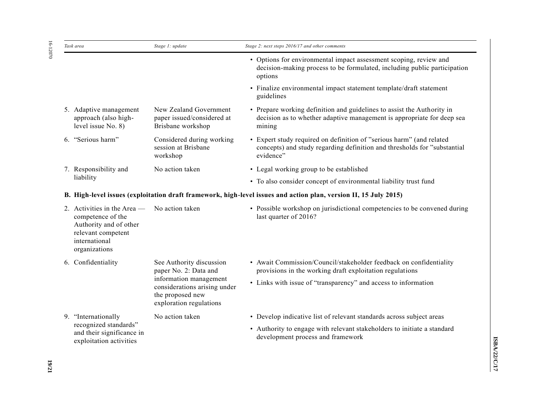16-12070 16-12070

| Task area                                                                                                                            | Stage 1: update                                                                                                                                            | Stage 2: next steps 2016/17 and other comments                                                                                                                                                   |
|--------------------------------------------------------------------------------------------------------------------------------------|------------------------------------------------------------------------------------------------------------------------------------------------------------|--------------------------------------------------------------------------------------------------------------------------------------------------------------------------------------------------|
|                                                                                                                                      |                                                                                                                                                            | • Options for environmental impact assessment scoping, review and<br>decision-making process to be formulated, including public participation<br>options                                         |
|                                                                                                                                      |                                                                                                                                                            | • Finalize environmental impact statement template/draft statement<br>guidelines                                                                                                                 |
| 5. Adaptive management<br>approach (also high-<br>level issue No. 8)                                                                 | New Zealand Government<br>paper issued/considered at<br>Brisbane workshop                                                                                  | • Prepare working definition and guidelines to assist the Authority in<br>decision as to whether adaptive management is appropriate for deep sea<br>mining                                       |
| 6. "Serious harm"                                                                                                                    | Considered during working<br>session at Brisbane<br>workshop                                                                                               | • Expert study required on definition of "serious harm" (and related<br>concepts) and study regarding definition and thresholds for "substantial<br>evidence"                                    |
| 7. Responsibility and                                                                                                                | No action taken                                                                                                                                            | • Legal working group to be established                                                                                                                                                          |
| liability                                                                                                                            |                                                                                                                                                            | • To also consider concept of environmental liability trust fund                                                                                                                                 |
|                                                                                                                                      |                                                                                                                                                            | B. High-level issues (exploitation draft framework, high-level issues and action plan, version II, 15 July 2015)                                                                                 |
| 2. Activities in the Area $-$<br>competence of the<br>Authority and of other<br>relevant competent<br>international<br>organizations | No action taken                                                                                                                                            | • Possible workshop on jurisdictional competencies to be convened during<br>last quarter of 2016?                                                                                                |
| 6. Confidentiality                                                                                                                   | See Authority discussion<br>paper No. 2: Data and<br>information management<br>considerations arising under<br>the proposed new<br>exploration regulations | • Await Commission/Council/stakeholder feedback on confidentiality<br>provisions in the working draft exploitation regulations<br>• Links with issue of "transparency" and access to information |
|                                                                                                                                      |                                                                                                                                                            |                                                                                                                                                                                                  |
| 9. "Internationally<br>recognized standards"<br>and their significance in<br>exploitation activities                                 | No action taken                                                                                                                                            | • Develop indicative list of relevant standards across subject areas<br>• Authority to engage with relevant stakeholders to initiate a standard<br>development process and framework             |
|                                                                                                                                      |                                                                                                                                                            |                                                                                                                                                                                                  |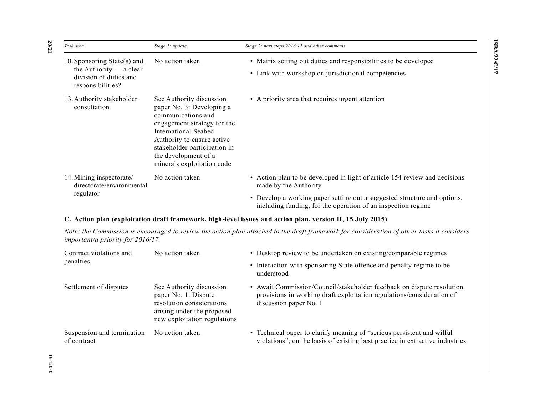| Task area                                                                                               | Stage 1: update                                                                                                                                                                                                                                        | Stage 2: next steps 2016/17 and other comments                                                                                           |
|---------------------------------------------------------------------------------------------------------|--------------------------------------------------------------------------------------------------------------------------------------------------------------------------------------------------------------------------------------------------------|------------------------------------------------------------------------------------------------------------------------------------------|
| 10. Sponsoring State(s) and<br>the Authority $-$ a clear<br>division of duties and<br>responsibilities? | No action taken                                                                                                                                                                                                                                        | • Matrix setting out duties and responsibilities to be developed<br>• Link with workshop on jurisdictional competencies                  |
| 13. Authority stakeholder<br>consultation                                                               | See Authority discussion<br>paper No. 3: Developing a<br>communications and<br>engagement strategy for the<br>International Seabed<br>Authority to ensure active<br>stakeholder participation in<br>the development of a<br>minerals exploitation code | • A priority area that requires urgent attention                                                                                         |
| 14. Mining inspectorate/<br>directorate/environmental                                                   | No action taken                                                                                                                                                                                                                                        | • Action plan to be developed in light of article 154 review and decisions<br>made by the Authority                                      |
| regulator                                                                                               |                                                                                                                                                                                                                                                        | • Develop a working paper setting out a suggested structure and options,<br>including funding, for the operation of an inspection regime |

#### **C. Action plan (exploitation draft framework, high-level issues and action plan, version II, 15 July 2015)**

*Note: the Commission is encouraged to review the action plan attached to the draft framework for consideration of oth er tasks it considers important/a priority for 2016/17.*

| Contract violations and                   | No action taken                                                                                                                             | • Desktop review to be undertaken on existing/comparable regimes                                                                                                         |  |  |
|-------------------------------------------|---------------------------------------------------------------------------------------------------------------------------------------------|--------------------------------------------------------------------------------------------------------------------------------------------------------------------------|--|--|
| penalties                                 |                                                                                                                                             | • Interaction with sponsoring State offence and penalty regime to be<br>understood                                                                                       |  |  |
| Settlement of disputes                    | See Authority discussion<br>paper No. 1: Dispute<br>resolution considerations<br>arising under the proposed<br>new exploitation regulations | • Await Commission/Council/stakeholder feedback on dispute resolution<br>provisions in working draft exploitation regulations/consideration of<br>discussion paper No. 1 |  |  |
| Suspension and termination<br>of contract | No action taken                                                                                                                             | • Technical paper to clarify meaning of "serious persistent and wilful<br>violations", on the basis of existing best practice in extractive industries                   |  |  |

**20**

**/21**